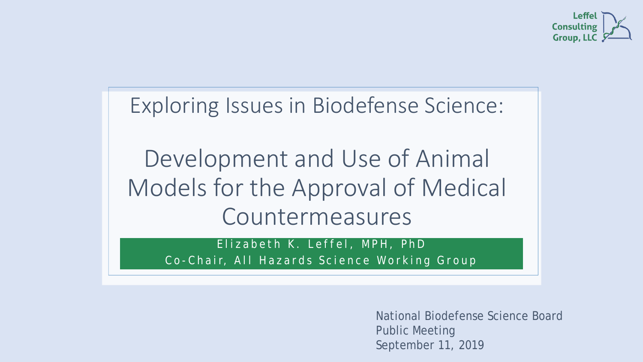

Exploring Issues in Biodefense Science:

Development and Use of Animal Models for the Approval of Medical Countermeasures

Elizabeth K. Leffel, MPH, PhD C o - Chair, All Hazards Science Working Group

> National Biodefense Science Board Public Meeting September 11, 2019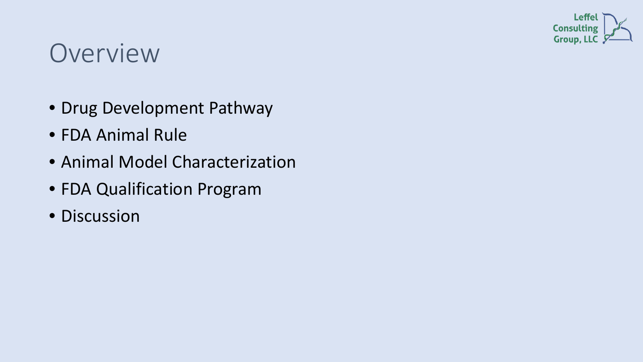

#### **Overview**

- Drug Development Pathway
- FDA Animal Rule
- Animal Model Characterization
- FDA Qualification Program
- Discussion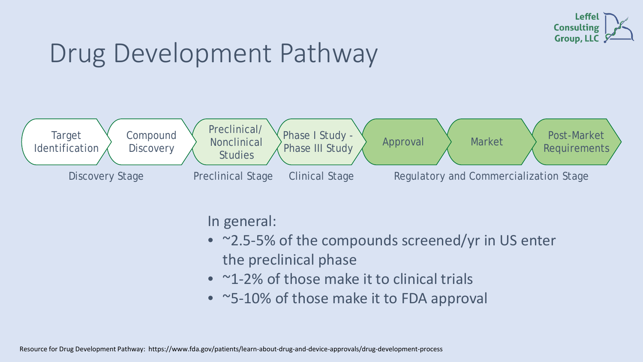

### Drug Development Pathway



In general:

- ~2.5-5% of the compounds screened/yr in US enter the preclinical phase
- ~1-2% of those make it to clinical trials
- ~5-10% of those make it to FDA approval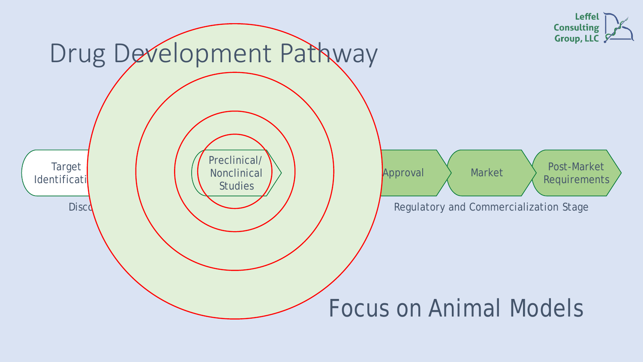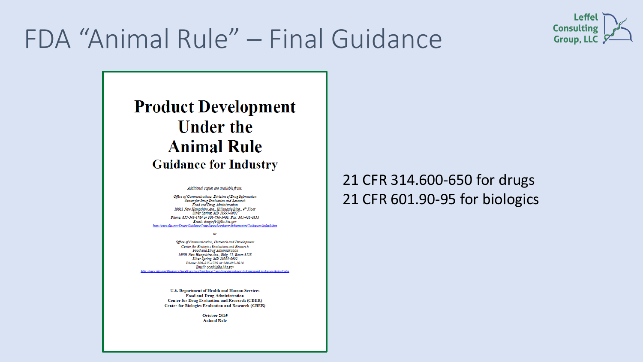

### FDA "Animal Rule" – Final Guidance

#### **Product Development Under the Animal Rule Guidance for Industry**

Additional copies are available from:

Office of Communications, Division of Drug Information Center for Drug Evaluation and Research Food and Drug Administration 10001 New Hampshire Ave., Hillandale Bldg., 4th Floor Silver Spring, MD 20993-0002 Phone: 855-543-3784 or 301-796-3400; Fax: 301-431-6353 Email: druginfo@fda.hhs.gov http://www.fda.gov/Drugs/GuidanceCompli. on/Guidances/default.htm

Office of Communication, Outreach and Development Center for Biologics Evaluation and Research Food and Drug Administration 10903 New Hampshire Ave., Bidg. 71, Room 3128 Silver Spring, MD 20993-0002 Phone: 800-835-4709 or 240-402-8010 Email: ocod@fda.hhs.gov **Intelmony objetimit htm** 

 $\omega$ 

U.S. Department of Health and Human Services Food and Drug Administration **Center for Drug Evaluation and Research (CDER)** Center for Biologics Evaluation and Research (CBER)

> October 2015 **Animal Rule**

#### 21 CFR 314.600-650 for drugs 21 CFR 601.90-95 for biologics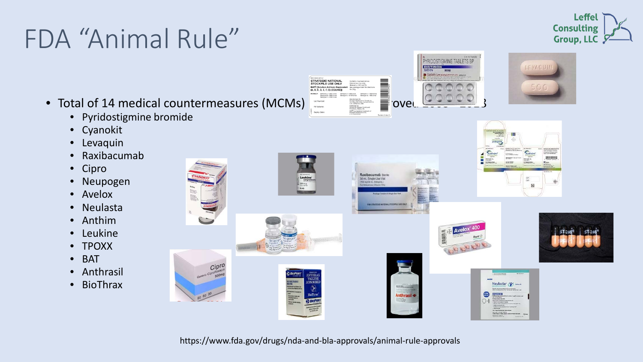## FDA "Animal Rule"

PYRIDOSTIGMINE TABLETS BP **DISTINON NOC BORD OFFICE**<br>STRATEGIC NATIONAL<br>STOCKPILE USE ONLY BAT® [Botulism Antitoxin Heptay]<br>(A, B, C, D, E, F, G)-(EQUINE)]



**Leffel** 

**Consulting** Group, LLC &

- Total of 14 medical countermeasures (MCMs)
	- Pyridostigmine bromide
	- Cyanokit
	- Levaquin
	- Raxibacumab
	- Cipro
	- Neupogen
	- Avelox
	- Neulasta
	- Anthim
	- **Leukine**
	- TPOXX
	- BAT
	- Anthrasil
	- BioThrax



https://www.fda.gov/drugs/nda-and-bla-approvals/animal-rule-approvals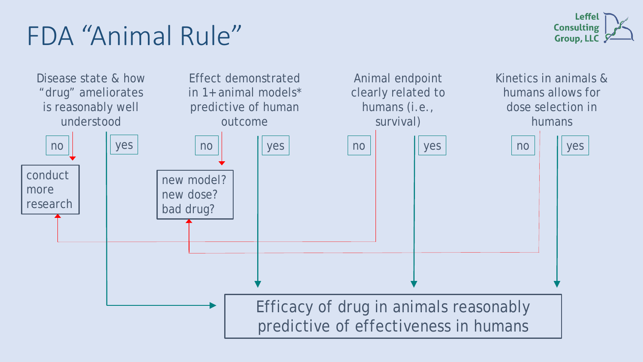### FDA "Animal Rule"



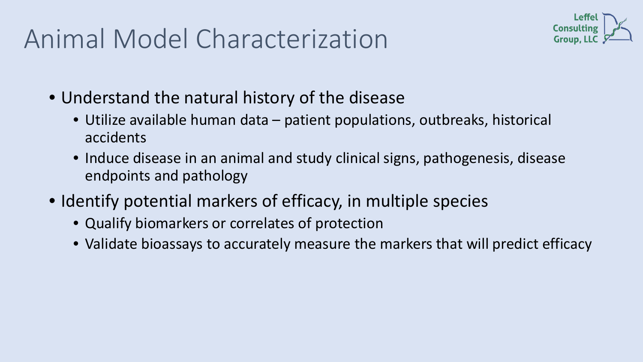### Animal Model Characterization



- Understand the natural history of the disease
	- Utilize available human data patient populations, outbreaks, historical accidents
	- Induce disease in an animal and study clinical signs, pathogenesis, disease endpoints and pathology
- Identify potential markers of efficacy, in multiple species
	- Qualify biomarkers or correlates of protection
	- Validate bioassays to accurately measure the markers that will predict efficacy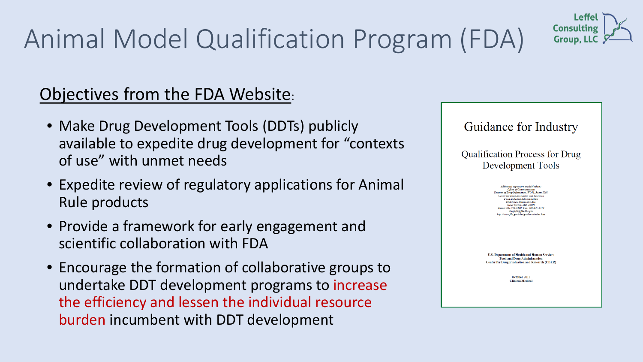# Animal Model Qualification Program (FDA)



#### Objectives from the FDA Website:

- Make Drug Development Tools (DDTs) publicly available to expedite drug development for "contexts of use" with unmet needs
- Expedite review of regulatory applications for Animal Rule products
- Provide a framework for early engagement and scientific collaboration with FDA
- Encourage the formation of collaborative groups to undertake DDT development programs to increase the efficiency and lessen the individual resource burden incumbent with DDT development